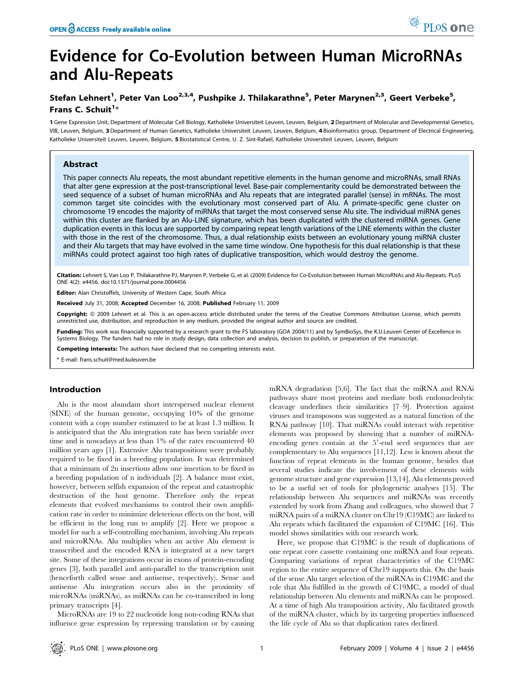# Evidence for Co-Evolution between Human MicroRNAs and Alu-Repeats

## Stefan Lehnert<sup>1</sup>, Peter Van Loo<sup>2,3,4</sup>, Pushpike J. Thilakarathne<sup>5</sup>, Peter Marynen<sup>2,3</sup>, Geert Verbeke<sup>5</sup>, Frans C. Schuit<sup>1</sup>\*

1 Gene Expression Unit, Department of Molecular Cell Biology, Katholieke Universiteit Leuven, Leuven, Belgium, 2 Department of Molecular and Developmental Genetics, VIB, Leuven, Belgium, 3 Department of Human Genetics, Katholieke Universiteit Leuven, Leuven, Belgium, 4 Bioinformatics group, Department of Electrical Engineering, Katholieke Universiteit Leuven, Leuven, Belgium, 5 Biostatistical Centre, U. Z. Sint-Rafaël, Katholieke Universiteit Leuven, Leuven, Belgium

#### Abstract

This paper connects Alu repeats, the most abundant repetitive elements in the human genome and microRNAs, small RNAs that alter gene expression at the post-transcriptional level. Base-pair complementarity could be demonstrated between the seed sequence of a subset of human microRNAs and Alu repeats that are integrated parallel (sense) in mRNAs. The most common target site coincides with the evolutionary most conserved part of Alu. A primate-specific gene cluster on chromosome 19 encodes the majority of miRNAs that target the most conserved sense Alu site. The individual miRNA genes within this cluster are flanked by an Alu-LINE signature, which has been duplicated with the clustered miRNA genes. Gene duplication events in this locus are supported by comparing repeat length variations of the LINE elements within the cluster with those in the rest of the chromosome. Thus, a dual relationship exists between an evolutionary young miRNA cluster and their Alu targets that may have evolved in the same time window. One hypothesis for this dual relationship is that these miRNAs could protect against too high rates of duplicative transposition, which would destroy the genome.

Citation: Lehnert S, Van Loo P, Thilakarathne PJ, Marynen P, Verbeke G, et al. (2009) Evidence for Co-Evolution between Human MicroRNAs and Alu-Repeats. PLoS ONE 4(2): e4456. doi:10.1371/journal.pone.0004456

Editor: Alan Christoffels, University of Western Cape, South Africa

Received July 31, 2008; Accepted December 16, 2008; Published February 11, 2009

Copyright: @ 2009 Lehnert et al. This is an open-access article distributed under the terms of the Creative Commons Attribution License, which permits unrestricted use, distribution, and reproduction in any medium, provided the original author and source are credited.

Funding: This work was financially supported by a research grant to the FS laboratory (GOA 2004/11) and by SymBioSys, the K.U.Leuven Center of Excellence in Systems Biology. The funders had no role in study design, data collection and analysis, decision to publish, or preparation of the manuscript.

Competing Interests: The authors have declared that no competing interests exist.

\* E-mail: frans.schuit@med.kuleuven.be

#### Introduction

Alu is the most abundant short interspersed nuclear element (SINE) of the human genome, occupying 10% of the genome content with a copy number estimated to be at least 1.3 million. It is anticipated that the Alu integration rate has been variable over time and is nowadays at less than 1% of the rates encountered 40 million years ago [1]. Extensive Alu transpositions were probably required to be fixed in a breeding population. It was determined that a minimum of 2n insertions allow one insertion to be fixed in a breeding population of n individuals [2]. A balance must exist, however, between selfish expansion of the repeat and catastrophic destruction of the host genome. Therefore only the repeat elements that evolved mechanisms to control their own amplification rate in order to minimize deleterious effects on the host, will be efficient in the long run to amplify [2]. Here we propose a model for such a self-controlling mechanism, involving Alu repeats and microRNAs. Alu multiplies when an active Alu element is transcribed and the encoded RNA is integrated at a new target site. Some of these integrations occur in exons of protein-encoding genes [3], both parallel and anti-parallel to the transcription unit (henceforth called sense and antisense, respectively). Sense and antisense Alu integration occurs also in the proximity of microRNAs (miRNAs), as miRNAs can be co-transcribed in long primary transcripts [4].

MicroRNAs are 19 to 22 nucleotide long non-coding RNAs that influence gene expression by repressing translation or by causing

mRNA degradation [5,6]. The fact that the miRNA and RNAi pathways share most proteins and mediate both endonucleolytic cleavage underlines their similarities [7–9]. Protection against viruses and transposons was suggested as a natural function of the RNAi pathway [10]. That miRNAs could interact with repetitive elements was proposed by showing that a number of miRNAencoding genes contain at the 5'-end seed sequences that are complementary to Alu sequences [11,12]. Less is known about the function of repeat elements in the human genome, besides that several studies indicate the involvement of these elements with genome structure and gene expression [13,14], Alu elements proved to be a useful set of tools for phylogenetic analyses [15]. The relationship between Alu sequences and miRNAs was recently extended by work from Zhang and colleagues, who showed that 7 miRNA pairs of a miRNA cluster on Chr19 (C19MC) are linked to Alu repeats which facilitated the expansion of C19MC [16]. This model shows similarities with our research work.

Here, we propose that C19MC is the result of duplications of one repeat core cassette containing one miRNA and four repeats. Comparing variations of repeat characteristics of the C19MC region to the entire sequence of Chr19 supports this. On the basis of the sense Alu target selection of the miRNAs in C19MC and the role that Alu fulfilled in the growth of C19MC, a model of dual relationship between Alu elements and miRNAs can be proposed. At a time of high Alu transposition activity, Alu facilitated growth of the miRNA cluster, which by its targeting properties influenced the life cycle of Alu so that duplication rates declined.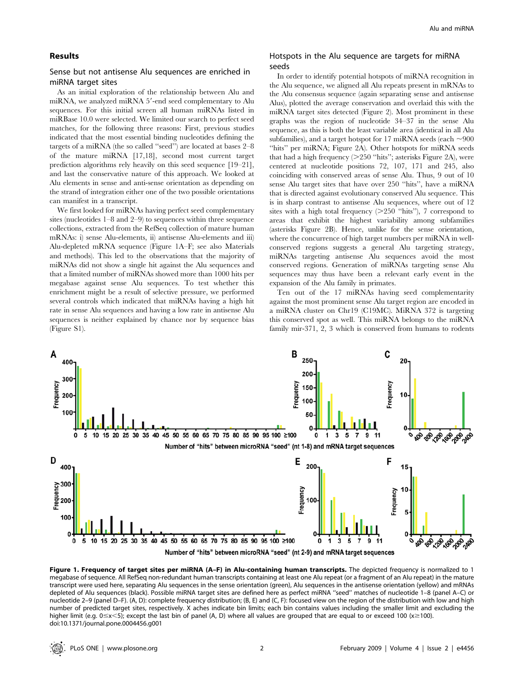#### Results

#### Sense but not antisense Alu sequences are enriched in miRNA target sites

As an initial exploration of the relationship between Alu and miRNA, we analyzed miRNA 5'-end seed complementary to Alu sequences. For this initial screen all human miRNAs listed in miRBase 10.0 were selected. We limited our search to perfect seed matches, for the following three reasons: First, previous studies indicated that the most essential binding nucleotides defining the targets of a miRNA (the so called ''seed'') are located at bases 2–8 of the mature miRNA [17,18], second most current target prediction algorithms rely heavily on this seed sequence [19–21], and last the conservative nature of this approach. We looked at Alu elements in sense and anti-sense orientation as depending on the strand of integration either one of the two possible orientations can manifest in a transcript.

We first looked for miRNAs having perfect seed complementary sites (nucleotides 1–8 and 2–9) to sequences within three sequence collections, extracted from the RefSeq collection of mature human mRNAs: i) sense Alu-elements, ii) antisense Alu-elements and iii) Alu-depleted mRNA sequence (Figure 1A–F; see also Materials and methods). This led to the observations that the majority of miRNAs did not show a single hit against the Alu sequences and that a limited number of miRNAs showed more than 1000 hits per megabase against sense Alu sequences. To test whether this enrichment might be a result of selective pressure, we performed several controls which indicated that miRNAs having a high hit rate in sense Alu sequences and having a low rate in antisense Alu sequences is neither explained by chance nor by sequence bias (Figure S1).

#### Hotspots in the Alu sequence are targets for miRNA seeds

In order to identify potential hotspots of miRNA recognition in the Alu sequence, we aligned all Alu repeats present in mRNAs to the Alu consensus sequence (again separating sense and antisense Alus), plotted the average conservation and overlaid this with the miRNA target sites detected (Figure 2). Most prominent in these graphs was the region of nucleotide 34–37 in the sense Alu sequence, as this is both the least variable area (identical in all Alu subfamilies), and a target hotspot for 17 miRNA seeds (each  $\sim$ 900 "hits" per miRNA; Figure 2A). Other hotspots for miRNA seeds that had a high frequency  $(>=250$  "hits"; asterisks Figure 2A), were centered at nucleotide positions 72, 107, 171 and 245, also coinciding with conserved areas of sense Alu. Thus, 9 out of 10 sense Alu target sites that have over 250 ''hits'', have a miRNA that is directed against evolutionary conserved Alu sequence. This is in sharp contrast to antisense Alu sequences, where out of 12 sites with a high total frequency  $(>=250$  "hits"), 7 correspond to areas that exhibit the highest variability among subfamilies (asterisks Figure 2B). Hence, unlike for the sense orientation, where the concurrence of high target numbers per miRNA in wellconserved regions suggests a general Alu targeting strategy, miRNAs targeting antisense Alu sequences avoid the most conserved regions. Generation of miRNAs targeting sense Alu sequences may thus have been a relevant early event in the expansion of the Alu family in primates.

Ten out of the 17 miRNAs having seed complementarity against the most prominent sense Alu target region are encoded in a miRNA cluster on Chr19 (C19MC). MiRNA 372 is targeting this conserved spot as well. This miRNA belongs to the miRNA family mir-371, 2, 3 which is conserved from humans to rodents



Figure 1. Frequency of target sites per miRNA (A-F) in Alu-containing human transcripts. The depicted frequency is normalized to 1 megabase of sequence. All RefSeq non-redundant human transcripts containing at least one Alu repeat (or a fragment of an Alu repeat) in the mature transcript were used here, separating Alu sequences in the sense orientation (green), Alu sequences in the antisense orientation (yellow) and mRNAs depleted of Alu sequences (black). Possible miRNA target sites are defined here as perfect miRNA ''seed'' matches of nucleotide 1–8 (panel A–C) or nucleotide 2–9 (panel D–F). (A, D): complete frequency distribution; (B, E) and (C, F): focused view on the region of the distribution with low and high number of predicted target sites, respectively. X aches indicate bin limits; each bin contains values including the smaller limit and excluding the higher limit (e.g.  $0 \le x \le 5$ ); except the last bin of panel (A, D) where all values are grouped that are equal to or exceed 100 ( $x \ge 100$ ). doi:10.1371/journal.pone.0004456.g001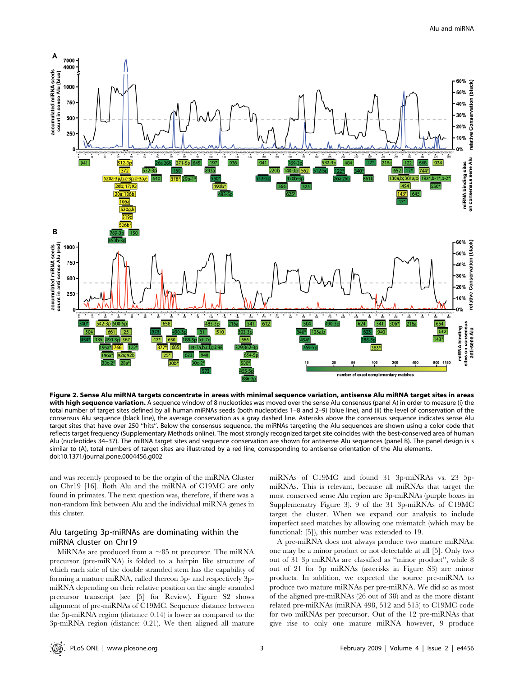

Figure 2. Sense Alu miRNA targets concentrate in areas with minimal sequence variation, antisense Alu miRNA target sites in areas with high sequence variation. A sequence window of 8 nucleotides was moved over the sense Alu consensus (panel A) in order to measure (i) the total number of target sites defined by all human miRNAs seeds (both nucleotides 1–8 and 2–9) (blue line), and (ii) the level of conservation of the consensus Alu sequence (black line), the average conservation as a gray dashed line. Asterisks above the consensus sequence indicates sense Alu target sites that have over 250 ''hits''. Below the consensus sequence, the miRNAs targeting the Alu sequences are shown using a color code that reflects target frequency (Supplementary Methods online). The most strongly recognized target site coincides with the best-conserved area of human Alu (nucleotides 34–37). The miRNA target sites and sequence conservation are shown for antisense Alu sequences (panel B). The panel design is s similar to (A), total numbers of target sites are illustrated by a red line, corresponding to antisense orientation of the Alu elements. doi:10.1371/journal.pone.0004456.g002

and was recently proposed to be the origin of the miRNA Cluster on Chr19 [16]. Both Alu and the miRNA of C19MC are only found in primates. The next question was, therefore, if there was a non-random link between Alu and the individual miRNA genes in this cluster.

#### Alu targeting 3p-miRNAs are dominating within the miRNA cluster on Chr19

MiRNAs are produced from a  $\sim$ 85 nt precursor. The miRNA precursor (pre-miRNA) is folded to a hairpin like structure of which each side of the double stranded stem has the capability of forming a mature miRNA, called thereon 5p- and respectively 3pmiRNA depending on their relative position on the single stranded precursor transcript (see [5] for Review). Figure S2 shows alignment of pre-miRNAs of C19MC. Sequence distance between the 5p-miRNA region (distance 0.14) is lower as compared to the 3p-miRNA region (distance: 0.21). We then aligned all mature

miRNAs of C19MC and found 31 3p-miNRAs vs. 23 5pmiRNAs. This is relevant, because all miRNAs that target the most conserved sense Alu region are 3p-miRNAs (purple boxes in Supplemenatry Figure 3). 9 of the 31 3p-miRNAs of C19MC target the cluster. When we expand our analysis to include imperfect seed matches by allowing one mismatch (which may be functional: [5]), this number was extended to 19.

A pre-miRNA does not always produce two mature miRNAs: one may be a minor product or not detectable at all [5]. Only two out of 31 3p miRNAs are classified as ''minor product'', while 8 out of 21 for 5p miRNAs (asterisks in Figure S3) are minor products. In addition, we expected the source pre-miRNA to produce two mature miRNAs per pre-miRNA. We did so as most of the aligned pre-miRNAs (26 out of 38) and as the more distant related pre-miRNAs (miRNA 498, 512 and 515) to C19MC code for two miRNAs per precursor. Out of the 12 pre-miRNAs that give rise to only one mature miRNA however, 9 produce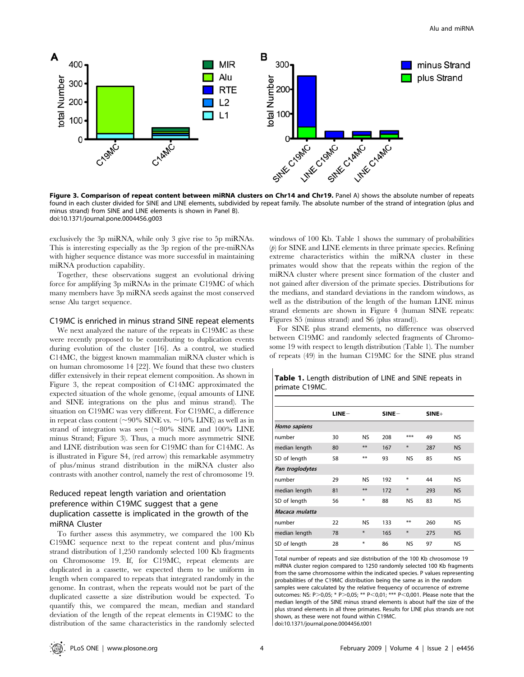

Figure 3. Comparison of repeat content between miRNA clusters on Chr14 and Chr19. Panel A) shows the absolute number of repeats found in each cluster divided for SINE and LINE elements, subdivided by repeat family. The absolute number of the strand of integration (plus and minus strand) from SINE and LINE elements is shown in Panel B). doi:10.1371/journal.pone.0004456.g003

exclusively the 3p miRNA, while only 3 give rise to 5p miRNAs. This is interesting especially as the 3p region of the pre-miRNAs with higher sequence distance was more successful in maintaining miRNA production capability.

Together, these observations suggest an evolutional driving force for amplifying 3p miRNAs in the primate C19MC of which many members have 3p miRNA seeds against the most conserved sense Alu target sequence.

#### C19MC is enriched in minus strand SINE repeat elements

We next analyzed the nature of the repeats in C19MC as these were recently proposed to be contributing to duplication events during evolution of the cluster [16]. As a control, we studied C14MC, the biggest known mammalian miRNA cluster which is on human chromosome 14 [22]. We found that these two clusters differ extensively in their repeat element composition. As shown in Figure 3, the repeat composition of C14MC approximated the expected situation of the whole genome, (equal amounts of LINE and SINE integrations on the plus and minus strand). The situation on C19MC was very different. For C19MC, a difference in repeat class content ( $\sim$ 90% SINE vs.  $\sim$ 10% LINE) as well as in strand of integration was seen ( $\sim 80\%$  SINE and 100% LINE minus Strand; Figure 3). Thus, a much more asymmetric SINE and LINE distribution was seen for C19MC than for C14MC. As is illustrated in Figure S4, (red arrow) this remarkable asymmetry of plus/minus strand distribution in the miRNA cluster also contrasts with another control, namely the rest of chromosome 19.

### Reduced repeat length variation and orientation preference within C19MC suggest that a gene duplication cassette is implicated in the growth of the miRNA Cluster

To further assess this asymmetry, we compared the 100 Kb C19MC sequence next to the repeat content and plus/minus strand distribution of 1,250 randomly selected 100 Kb fragments on Chromosome 19. If, for C19MC, repeat elements are duplicated in a cassette, we expected them to be uniform in length when compared to repeats that integrated randomly in the genome. In contrast, when the repeats would not be part of the duplicated cassette a size distribution would be expected. To quantify this, we compared the mean, median and standard deviation of the length of the repeat elements in C19MC to the distribution of the same characteristics in the randomly selected windows of 100 Kb. Table 1 shows the summary of probabilities  $(p)$  for SINE and LINE elements in three primate species. Refining extreme characteristics within the miRNA cluster in these primates would show that the repeats within the region of the miRNA cluster where present since formation of the cluster and not gained after diversion of the primate species. Distributions for the medians, and standard deviations in the random windows, as well as the distribution of the length of the human LINE minus strand elements are shown in Figure 4 (human SINE repeats: Figures S5 (minus strand) and S6 (plus strand)).

For SINE plus strand elements, no difference was observed between C19MC and randomly selected fragments of Chromosome 19 with respect to length distribution (Table 1). The number of repeats (49) in the human C19MC for the SINE plus strand

Table 1. Length distribution of LINE and SINE repeats in

| primate C19MC.  |         |           |         |           |         |           |
|-----------------|---------|-----------|---------|-----------|---------|-----------|
|                 |         |           |         |           |         |           |
|                 | $LINE-$ |           | $SINE-$ |           | $SINE+$ |           |
| Homo sapiens    |         |           |         |           |         |           |
| number          | 30      | NS.       | 208     | ***       | 49      | <b>NS</b> |
| median length   | 80      | $**$      | 167     | $\ast$    | 287     | <b>NS</b> |
| SD of length    | 58      | **        | 93      | <b>NS</b> | 85      | <b>NS</b> |
| Pan troglodytes |         |           |         |           |         |           |
| number          | 29      | <b>NS</b> | 192     | ₩         | 44      | <b>NS</b> |
| median length   | 81      | $**$      | 172     | $\ast$    | 293     | <b>NS</b> |
| SD of length    | 56      | ∗         | 88      | NS.       | 83      | <b>NS</b> |
| Macaca mulatta  |         |           |         |           |         |           |
| number          | 22      | NS.       | 133     | $***$     | 260     | NS.       |

#### Total number of repeats and size distribution of the 100 Kb chrosomose 19 miRNA cluster region compared to 1250 randomly selected 100 Kb fragments from the same chromosome within the indicated species. P values representing probabilities of the C19MC distribution being the same as in the random samples were calculated by the relative frequency of occurrence of extreme outcomes: NS: P>0,05; \* P>0,05; \*\* P<0,01; \*\*\* P<0,001. Please note that the median length of the SINE minus strand elements is about half the size of the plus strand elements in all three primates. Results for LINE plus strands are not shown, as these were not found within C19MC. doi:10.1371/journal.pone.0004456.t001

median length 78 \* 165 \* 275 NS SD of length 28  $*$  86 NS 97 NS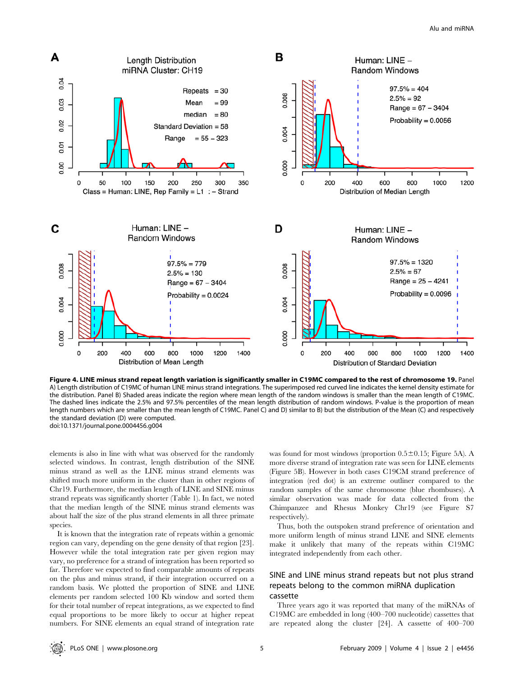

Figure 4. LINE minus strand repeat length variation is significantly smaller in C19MC compared to the rest of chromosome 19. Panel A) Length distribution of C19MC of human LINE minus strand integrations. The superimposed red curved line indicates the kernel density estimate for the distribution. Panel B) Shaded areas indicate the region where mean length of the random windows is smaller than the mean length of C19MC. The dashed lines indicate the 2.5% and 97.5% percentiles of the mean length distribution of random windows. P-value is the proportion of mean length numbers which are smaller than the mean length of C19MC. Panel C) and D) similar to B) but the distribution of the Mean (C) and respectively the standard deviation (D) were computed. doi:10.1371/journal.pone.0004456.g004

elements is also in line with what was observed for the randomly selected windows. In contrast, length distribution of the SINE minus strand as well as the LINE minus strand elements was shifted much more uniform in the cluster than in other regions of Chr19. Furthermore, the median length of LINE and SINE minus strand repeats was significantly shorter (Table 1). In fact, we noted that the median length of the SINE minus strand elements was about half the size of the plus strand elements in all three primate species.

It is known that the integration rate of repeats within a genomic region can vary, depending on the gene density of that region [23]. However while the total integration rate per given region may vary, no preference for a strand of integration has been reported so far. Therefore we expected to find comparable amounts of repeats on the plus and minus strand, if their integration occurred on a random basis. We plotted the proportion of SINE and LINE elements per random selected 100 Kb window and sorted them for their total number of repeat integrations, as we expected to find equal proportions to be more likely to occur at higher repeat numbers. For SINE elements an equal strand of integration rate was found for most windows (proportion  $0.5 \pm 0.15$ ; Figure 5A). A more diverse strand of integration rate was seen for LINE elements (Figure 5B). However in both cases C19CM strand preference of integration (red dot) is an extreme outliner compared to the random samples of the same chromosome (blue rhombuses). A similar observation was made for data collected from the Chimpanzee and Rhesus Monkey Chr19 (see Figure S7 respectively).

Thus, both the outspoken strand preference of orientation and more uniform length of minus strand LINE and SINE elements make it unlikely that many of the repeats within C19MC integrated independently from each other.

#### SINE and LINE minus strand repeats but not plus strand repeats belong to the common miRNA duplication cassette

Three years ago it was reported that many of the miRNAs of C19MC are embedded in long (400–700 nucleotide) cassettes that are repeated along the cluster [24]. A cassette of 400–700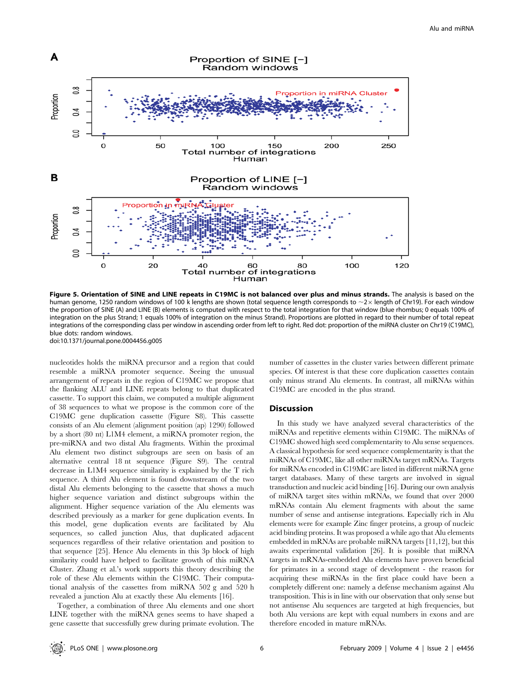

Figure 5. Orientation of SINE and LINE repeats in C19MC is not balanced over plus and minus strands. The analysis is based on the human genome, 1250 random windows of 100 k lengths are shown (total sequence length corresponds to  $\sim$ 2 $\times$  length of Chr19). For each window the proportion of SINE (A) and LINE (B) elements is computed with respect to the total integration for that window (blue rhombus; 0 equals 100% of integration on the plus Strand; 1 equals 100% of integration on the minus Strand). Proportions are plotted in regard to their number of total repeat integrations of the corresponding class per window in ascending order from left to right. Red dot: proportion of the miRNA cluster on Chr19 (C19MC), blue dots: random windows.

doi:10.1371/journal.pone.0004456.g005

nucleotides holds the miRNA precursor and a region that could resemble a miRNA promoter sequence. Seeing the unusual arrangement of repeats in the region of C19MC we propose that the flanking ALU and LINE repeats belong to that duplicated cassette. To support this claim, we computed a multiple alignment of 38 sequences to what we propose is the common core of the C19MC gene duplication cassette (Figure S8). This cassette consists of an Alu element (alignment position (ap) 1290) followed by a short (80 nt) L1M4 element, a miRNA promoter region, the pre-miRNA and two distal Alu fragments. Within the proximal Alu element two distinct subgroups are seen on basis of an alternative central 18 nt sequence (Figure S9). The central decrease in L1M4 sequence similarity is explained by the T rich sequence. A third Alu element is found downstream of the two distal Alu elements belonging to the cassette that shows a much higher sequence variation and distinct subgroups within the alignment. Higher sequence variation of the Alu elements was described previously as a marker for gene duplication events. In this model, gene duplication events are facilitated by Alu sequences, so called junction Alus, that duplicated adjacent sequences regardless of their relative orientation and position to that sequence [25]. Hence Alu elements in this 3p block of high similarity could have helped to facilitate growth of this miRNA Cluster. Zhang et al.'s work supports this theory describing the role of these Alu elements within the C19MC. Their computational analysis of the cassettes from miRNA 502 g and 520 h revealed a junction Alu at exactly these Alu elements [16].

Together, a combination of three Alu elements and one short LINE together with the miRNA genes seems to have shaped a gene cassette that successfully grew during primate evolution. The

number of cassettes in the cluster varies between different primate species. Of interest is that these core duplication cassettes contain only minus strand Alu elements. In contrast, all miRNAs within C19MC are encoded in the plus strand.

#### **Discussion**

In this study we have analyzed several characteristics of the miRNAs and repetitive elements within C19MC. The miRNAs of C19MC showed high seed complementarity to Alu sense sequences. A classical hypothesis for seed sequence complementarity is that the miRNAs of C19MC, like all other miRNAs target mRNAs. Targets for miRNAs encoded in C19MC are listed in different miRNA gene target databases. Many of these targets are involved in signal transduction and nucleic acid binding [16]. During our own analysis of miRNA target sites within mRNAs, we found that over 2000 mRNAs contain Alu element fragments with about the same number of sense and antisense integrations. Especially rich in Alu elements were for example Zinc finger proteins, a group of nucleic acid binding proteins. It was proposed a while ago that Alu elements embedded in mRNAs are probable miRNA targets [11,12], but this awaits experimental validation [26]. It is possible that miRNA targets in mRNAs-embedded Alu elements have proven beneficial for primates in a second stage of development - the reason for acquiring these miRNAs in the first place could have been a completely different one: namely a defense mechanism against Alu transposition. This is in line with our observation that only sense but not antisense Alu sequences are targeted at high frequencies, but both Alu versions are kept with equal numbers in exons and are therefore encoded in mature mRNAs.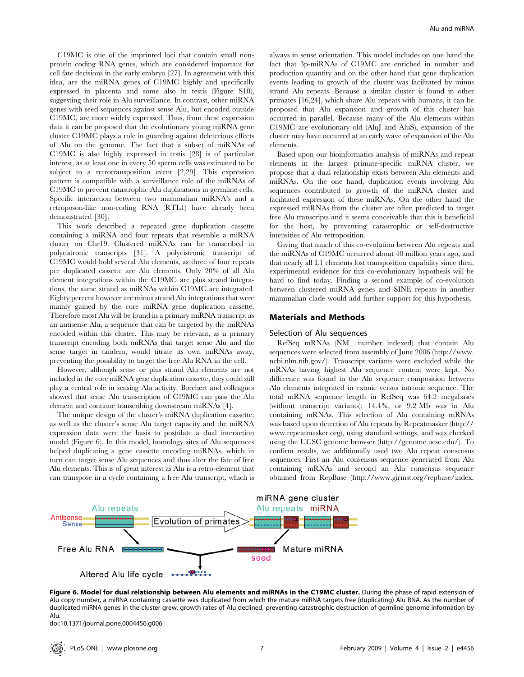C19MC is one of the imprinted loci that contain small nonprotein coding RNA genes, which are considered important for cell fate decisions in the early embryo [27]. In agreement with this idea, are the miRNA genes of C19MC highly and specifically expressed in placenta and some also in testis (Figure S10), suggesting their role in Alu surveillance. In contrast, other miRNA genes with seed sequences against sense Alu, but encoded outside C19MC, are more widely expressed. Thus, from these expression data it can be proposed that the evolutionary young miRNA gene cluster C19MC plays a role in guarding against deleterious effects of Alu on the genome. The fact that a subset of miRNAs of C19MC is also highly expressed in testis [28] is of particular interest, as at least one in every 50 sperm cells was estimated to be subject to a retrotransposition event [2,29]. This expression pattern is compatible with a surveillance role of the miRNAs of C19MC to prevent catastrophic Alu duplications in germline cells. Specific interaction between two mammalian miRNA's and a retroposon-like non-coding RNA (RTL1) have already been demonstrated [30].

This work described a repeated gene duplication cassette containing a miRNA and four repeats that resemble a miRNA cluster on Chr19. Clustered miRNAs can be transcribed in polycistronic transcripts [31]. A polycistronic transcript of C19MC would hold several Alu elements, as three of four repeats per duplicated cassette are Alu elements. Only 20% of all Alu element integrations within the C19MC are plus strand integrations, the same strand as miRNAs within C19MC are integrated. Eighty percent however are minus strand Alu integrations that were mainly gained by the core miRNA gene duplication cassette. Therefore most Alu will be found in a primary miRNA transcript as an antisense Alu, a sequence that can be targeted by the miRNAs encoded within this cluster. This may be relevant, as a primary transcript encoding both miRNAs that target sense Alu and the sense target in tandem, would titrate its own miRNAs away, preventing the possibility to target the free Alu RNA in the cell.

However, although sense or plus strand Alu elements are not included in the core miRNA gene duplication cassette, they could still play a central role in sensing Alu activity. Borchert and colleagues showed that sense Alu transcription of C19MC can pass the Alu element and continue transcribing downstream miRNAs [4].

The unique design of the cluster's miRNA duplication cassette, as well as the cluster's sense Alu target capacity and the miRNA expression data were the basis to postulate a dual interaction model (Figure 6). In this model, homology sites of Alu sequences helped duplicating a gene cassette encoding miRNAs, which in turn can target sense Alu sequences and thus alter the fate of free Alu elements. This is of great interest as Alu is a retro-element that can transpose in a cycle containing a free Alu transcript, which is always in sense orientation. This model includes on one hand the fact that 3p-miRNAs of C19MC are enriched in number and production quantity and on the other hand that gene duplication events leading to growth of the cluster was facilitated by minus strand Alu repeats. Because a similar cluster is found in other primates [16,24], which share Alu repeats with humans, it can be proposed that Alu expansion and growth of this cluster has occurred in parallel. Because many of the Alu elements within C19MC are evolutionary old (AluJ and AluS), expansion of the cluster may have occurred at an early wave of expansion of the Alu elements.

Based upon our bioinformatics analysis of miRNAs and repeat elements in the largest primate-specific miRNA cluster, we propose that a dual relationship exists between Alu elements and miRNAs. On the one hand, duplication events involving Alu sequences contributed to growth of the miRNA cluster and facilitated expression of these miRNAs. On the other hand the expressed miRNAs from the cluster are often predicted to target free Alu transcripts and it seems conceivable that this is beneficial for the host, by preventing catastrophic or self-destructive intensities of Alu retroposition.

Giving that much of this co-evolution between Alu repeats and the miRNAs of C19MC occurred about 40 million years ago, and that nearly all L1 elements lost transposition capability since then, experimental evidence for this co-evolutionary hypothesis will be hard to find today. Finding a second example of co-evolution between clustered miRNA genes and SINE repeats in another mammalian clade would add further support for this hypothesis.

#### Materials and Methods

#### Selection of Alu sequences

RefSeq mRNAs (NM\_ number indexed) that contain Alu sequences were selected from assembly of June 2006 (http://www. ncbi.nlm.nih.gov/). Transcript variants were excluded while the mRNAs having highest Alu sequence content were kept. No difference was found in the Alu sequence composition between Alu elements integrated in exonic versus intronic sequence. The total mRNA sequence length in RefSeq was 64.2 megabases (without transcript variants); 14.4%, or 9.2 Mb was in Alu containing mRNAs. This selection of Alu containing mRNAs was based upon detection of Alu repeats by Repeatmasker (http:// www.repeatmasker.org), using standard settings, and was checked using the UCSC genome browser (http://genome.ucsc.edu/). To confirm results, we additionally used two Alu repeat consensus sequences. First an Alu consensus sequence generated from Alu containing mRNAs and second an Alu consensus sequence obtained from RepBase (http://www.girinst.org/repbase/index.



Figure 6. Model for dual relationship between Alu elements and miRNAs in the C19MC cluster. During the phase of rapid extension of Alu copy number, a miRNA containing cassette was duplicated from which the mature miRNA targets free (duplicating) Alu RNA. As the number of duplicated miRNA genes in the cluster grew, growth rates of Alu declined, preventing catastrophic destruction of germline genome information by Alu.

doi:10.1371/journal.pone.0004456.g006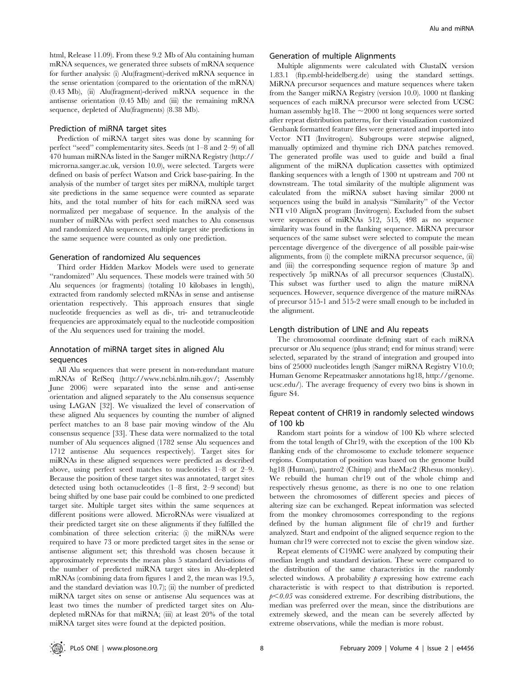html, Release 11.09). From these 9.2 Mb of Alu containing human mRNA sequences, we generated three subsets of mRNA sequence for further analysis: (i) Alu(fragment)-derived mRNA sequence in the sense orientation (compared to the orientation of the mRNA) (0.43 Mb), (ii) Alu(fragment)-derived mRNA sequence in the antisense orientation (0.45 Mb) and (iii) the remaining mRNA sequence, depleted of Alu(fragments) (8.38 Mb).

#### Prediction of miRNA target sites

Prediction of miRNA target sites was done by scanning for perfect ''seed'' complementarity sites. Seeds (nt 1–8 and 2–9) of all 470 human miRNAs listed in the Sanger miRNA Registry (http:// microrna.sanger.ac.uk, version 10.0), were selected. Targets were defined on basis of perfect Watson and Crick base-pairing. In the analysis of the number of target sites per miRNA, multiple target site predictions in the same sequence were counted as separate hits, and the total number of hits for each miRNA seed was normalized per megabase of sequence. In the analysis of the number of miRNAs with perfect seed matches to Alu consensus and randomized Alu sequences, multiple target site predictions in the same sequence were counted as only one prediction.

#### Generation of randomized Alu sequences

Third order Hidden Markov Models were used to generate ''randomized'' Alu sequences. These models were trained with 50 Alu sequences (or fragments) (totaling 10 kilobases in length), extracted from randomly selected mRNAs in sense and antisense orientation respectively. This approach ensures that single nucleotide frequencies as well as di-, tri- and tetranucleotide frequencies are approximately equal to the nucleotide composition of the Alu sequences used for training the model.

#### Annotation of miRNA target sites in aligned Alu sequences

All Alu sequences that were present in non-redundant mature mRNAs of RefSeq (http://www.ncbi.nlm.nih.gov/; Assembly June 2006) were separated into the sense and anti-sense orientation and aligned separately to the Alu consensus sequence using LAGAN [32]. We visualized the level of conservation of these aligned Alu sequences by counting the number of aligned perfect matches to an 8 base pair moving window of the Alu consensus sequence [33]. These data were normalized to the total number of Alu sequences aligned (1782 sense Alu sequences and 1712 antisense Alu sequences respectively). Target sites for miRNAs in these aligned sequences were predicted as described above, using perfect seed matches to nucleotides 1–8 or 2–9. Because the position of these target sites was annotated, target sites detected using both octanucleotides (1–8 first, 2–9 second) but being shifted by one base pair could be combined to one predicted target site. Multiple target sites within the same sequences at different positions were allowed. MicroRNAs were visualized at their predicted target site on these alignments if they fulfilled the combination of three selection criteria: (i) the miRNAs were required to have 73 or more predicted target sites in the sense or antisense alignment set; this threshold was chosen because it approximately represents the mean plus 5 standard deviations of the number of predicted miRNA target sites in Alu-depleted mRNAs (combining data from figures 1 and 2, the mean was 19.5, and the standard deviation was 10.7); (ii) the number of predicted miRNA target sites on sense or antisense Alu sequences was at least two times the number of predicted target sites on Aludepleted mRNAs for that miRNA; (iii) at least 20% of the total miRNA target sites were found at the depicted position.

#### Generation of multiple Alignments

Multiple alignments were calculated with ClustalX version 1.83.1 (ftp.embl-heidelberg.de) using the standard settings. MiRNA precursor sequences and mature sequences where taken from the Sanger miRNA Registry (version 10.0). 1000 nt flanking sequences of each miRNA precursor were selected from UCSC human assembly hg18. The  $\sim$ 2000 nt long sequences were sorted after repeat distribution patterns, for their visualization customized Genbank formatted feature files were generated and imported into Vector NTI (Invitrogen). Subgroups were stepwise aligned, manually optimized and thymine rich DNA patches removed. The generated profile was used to guide and build a final alignment of the miRNA duplication cassettes with optimized flanking sequences with a length of 1300 nt upstream and 700 nt downstream. The total similarity of the multiple alignment was calculated from the miRNA subset having similar 2000 nt sequences using the build in analysis ''Similarity'' of the Vector NTI v10 AlignX program (Invitrogen). Excluded from the subset were sequences of miRNAs 512, 515, 498 as no sequence similarity was found in the flanking sequence. MiRNA precursor sequences of the same subset were selected to compute the mean percentage divergence of the divergence of all possible pair-wise alignments, from (i) the complete miRNA precursor sequence, (ii) and (iii) the corresponding sequence region of mature 3p and respectively 5p miRNAs of all precursor sequences (ClustalX). This subset was further used to align the mature miRNA sequences. However, sequence divergence of the mature miRNAs of precursor 515-1 and 515-2 were small enough to be included in the alignment.

#### Length distribution of LINE and Alu repeats

The chromosomal coordinate defining start of each miRNA precursor or Alu sequence (plus strand; end for minus strand) were selected, separated by the strand of integration and grouped into bins of 25000 nucleotides length (Sanger miRNA Registry V10.0; Human Genome Repeatmasker annotations hg18, http://genome. ucsc.edu/). The average frequency of every two bins is shown in figure S4.

#### Repeat content of CHR19 in randomly selected windows of 100 kb

Random start points for a window of 100 Kb where selected from the total length of Chr19, with the exception of the 100 Kb flanking ends of the chromosome to exclude telomere sequence regions. Computation of position was based on the genome build hg18 (Human), pantro2 (Chimp) and rheMac2 (Rhesus monkey). We rebuild the human chr19 out of the whole chimp and respectively rhesus genome, as there is no one to one relation between the chromosomes of different species and pieces of altering size can be exchanged. Repeat information was selected from the monkey chromosomes corresponding to the regions defined by the human alignment file of chr19 and further analyzed. Start and endpoint of the aligned sequence region to the human chr19 were corrected not to excise the given window size.

Repeat elements of C19MC were analyzed by computing their median length and standard deviation. These were compared to the distribution of the same characteristics in the randomly selected windows. A probability  $p$  expressing how extreme each characteristic is with respect to that distribution is reported.  $p<0.05$  was considered extreme. For describing distributions, the median was preferred over the mean, since the distributions are extremely skewed, and the mean can be severely affected by extreme observations, while the median is more robust.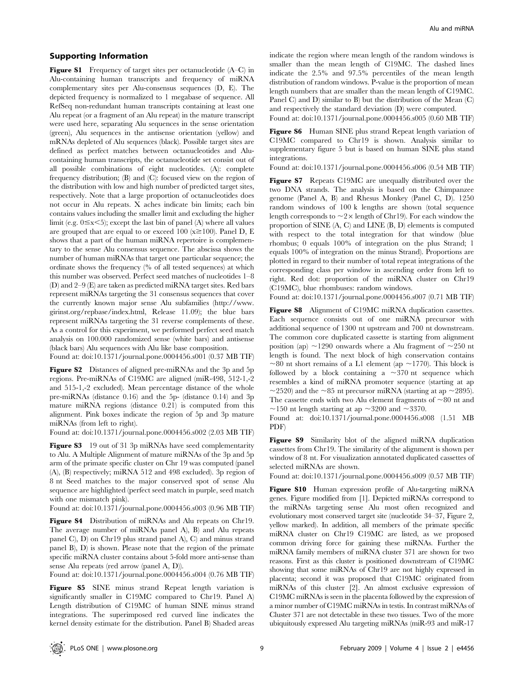#### Supporting Information

Figure S1 Frequency of target sites per octanucleotide (A–C) in Alu-containing human transcripts and frequency of miRNA complementary sites per Alu-consensus sequences (D, E). The depicted frequency is normalized to 1 megabase of sequence. All RefSeq non-redundant human transcripts containing at least one Alu repeat (or a fragment of an Alu repeat) in the mature transcript were used here, separating Alu sequences in the sense orientation (green), Alu sequences in the antisense orientation (yellow) and mRNAs depleted of Alu sequences (black). Possible target sites are defined as perfect matches between octanucleotides and Alucontaining human transcripts, the octanucleotide set consist out of all possible combinations of eight nucleotides. (A): complete frequency distribution; (B) and (C): focused view on the region of the distribution with low and high number of predicted target sites, respectively. Note that a large proportion of octanucleotides does not occur in Alu repeats. X aches indicate bin limits; each bin contains values including the smaller limit and excluding the higher limit (e.g.  $0 \le x \le 5$ ); except the last bin of panel (A) where all values are grouped that are equal to or exceed 100 ( $x \ge 100$ ). Panel D, E shows that a part of the human miRNA repertoire is complementary to the sense Alu consensus sequence. The abscissa shows the number of human miRNAs that target one particular sequence; the ordinate shows the frequency (% of all tested sequences) at which this number was observed. Perfect seed matches of nucleotides 1–8 (D) and 2–9 (E) are taken as predicted miRNA target sites. Red bars represent miRNAs targeting the 31 consensus sequences that cover the currently known major sense Alu subfamilies (http://www. girinst.org/repbase/index.html, Release 11.09); the blue bars represent miRNAs targeting the 31 reverse complements of these. As a control for this experiment, we performed perfect seed match analysis on 100.000 randomized sense (white bars) and antisense (black bars) Alu sequences with Alu like base composition.

Found at: doi:10.1371/journal.pone.0004456.s001 (0.37 MB TIF)

Figure S2 Distances of aligned pre-miRNAs and the 3p and 5p regions. Pre-miRNAs of C19MC are aligned (miR-498, 512-1,-2 and 515-1,-2 excluded). Mean percentage distance of the whole pre-miRNAs (distance 0.16) and the 5p- (distance 0.14) and 3p mature miRNA regions (distance 0.21) is computed from this alignment. Pink boxes indicate the region of 5p and 3p mature miRNAs (from left to right).

Found at: doi:10.1371/journal.pone.0004456.s002 (2.03 MB TIF)

Figure S3 19 out of 31 3p miRNAs have seed complementarity to Alu. A Multiple Alignment of mature miRNAs of the 3p and 5p arm of the primate specific cluster on Chr 19 was computed (panel (A), (B) respectively; miRNA 512 and 498 excluded). 3p region of 8 nt Seed matches to the major conserved spot of sense Alu sequence are highlighted (perfect seed match in purple, seed match with one mismatch pink).

Found at: doi:10.1371/journal.pone.0004456.s003 (0.96 MB TIF)

Figure S4 Distribution of miRNAs and Alu repeats on Chr19. The average number of miRNAs panel A), B) and Alu repeats panel C), D) on Chr19 plus strand panel A), C) and minus strand panel B), D) is shown. Please note that the region of the primate specific miRNA cluster contains about 5-fold more anti-sense than sense Alu repeats (red arrow (panel A, D)).

Found at: doi:10.1371/journal.pone.0004456.s004 (0.76 MB TIF)

Figure S5 SINE minus strand Repeat length variation is significantly smaller in C19MC compared to Chr19. Panel A) Length distribution of C19MC of human SINE minus strand integrations. The superimposed red curved line indicates the kernel density estimate for the distribution. Panel B) Shaded areas indicate the region where mean length of the random windows is smaller than the mean length of C19MC. The dashed lines indicate the 2.5% and 97.5% percentiles of the mean length distribution of random windows. P-value is the proportion of mean length numbers that are smaller than the mean length of C19MC. Panel C) and D) similar to B) but the distribution of the Mean (C) and respectively the standard deviation (D) were computed. Found at: doi:10.1371/journal.pone.0004456.s005 (0.60 MB TIF)

Figure S6 Human SINE plus strand Repeat length variation of C19MC compared to Chr19 is shown. Analysis similar to supplementary figure 5 but is based on human SINE plus stand integrations.

Found at: doi:10.1371/journal.pone.0004456.s006 (0.54 MB TIF)

Figure S7 Repeats C19MC are unequally distributed over the two DNA strands. The analysis is based on the Chimpanzee genome (Panel A, B) and Rhesus Monkey (Panel C, D). 1250 random windows of 100 k lengths are shown (total sequence length corresponds to  $\sim$  2 $\times$  length of Chr19). For each window the proportion of SINE (A, C) and LINE (B, D) elements is computed with respect to the total integration for that window (blue rhombus; 0 equals 100% of integration on the plus Strand; 1 equals 100% of integration on the minus Strand). Proportions are plotted in regard to their number of total repeat integrations of the corresponding class per window in ascending order from left to right. Red dot: proportion of the miRNA cluster on Chr19 (C19MC), blue rhombuses: random windows.

Found at: doi:10.1371/journal.pone.0004456.s007 (0.71 MB TIF)

Figure S8 Alignment of C19MC miRNA duplication cassettes. Each sequence consists out of one miRNA precursor with additional sequence of 1300 nt upstream and 700 nt downstream. The common core duplicated cassette is starting from alignment position (ap)  $\sim$ 1290 onwards where a Alu fragment of  $\sim$ 250 nt length is found. The next block of high conservation contains  $\sim$ 80 nt short remains of a L1 element (ap  $\sim$ 1770). This block is followed by a block containing a  $\sim$ 370 nt sequence which resembles a kind of miRNA promoter sequence (starting at ap  $\sim$ 2520) and the  $\sim$ 85 nt precursor miRNA (starting at ap  $\sim$ 2895). The cassette ends with two Alu element fragments of  $\sim80$  nt and  $\sim$ 150 nt length starting at ap  $\sim$ 3200 and  $\sim$ 3370.

Found at: doi:10.1371/journal.pone.0004456.s008 (1.51 MB PDF)

Figure S9 Similarity blot of the aligned miRNA duplication cassettes from Chr19. The similarity of the alignment is shown per window of 8 nt. For visualization annotated duplicated cassettes of selected miRNAs are shown.

Found at: doi:10.1371/journal.pone.0004456.s009 (0.57 MB TIF)

Figure S10 Human expression profile of Alu-targeting miRNA genes. Figure modified from [1]. Depicted miRNAs correspond to the miRNAs targeting sense Alu most often recognized and evolutionary most conserved target site (nucleotide 34–37, Figure 2, yellow marked). In addition, all members of the primate specific miRNA cluster on Chr19 C19MC are listed, as we proposed common driving force for gaining these miRNAs. Further the miRNA family members of miRNA cluster 371 are shown for two reasons. First as this cluster is positioned downstream of C19MC showing that some miRNAs of Chr19 are not highly expressed in placenta; second it was proposed that C19MC originated from miRNAs of this cluster [2]. An almost exclusive expression of C19MC miRNAs is seen in the placenta followed by the expression of a minor number of C19MC miRNAs in testis. In contrast miRNAs of Cluster 371 are not detectable in these two tissues. Two of the more ubiquitously expressed Alu targeting miRNAs (miR-93 and miR-17